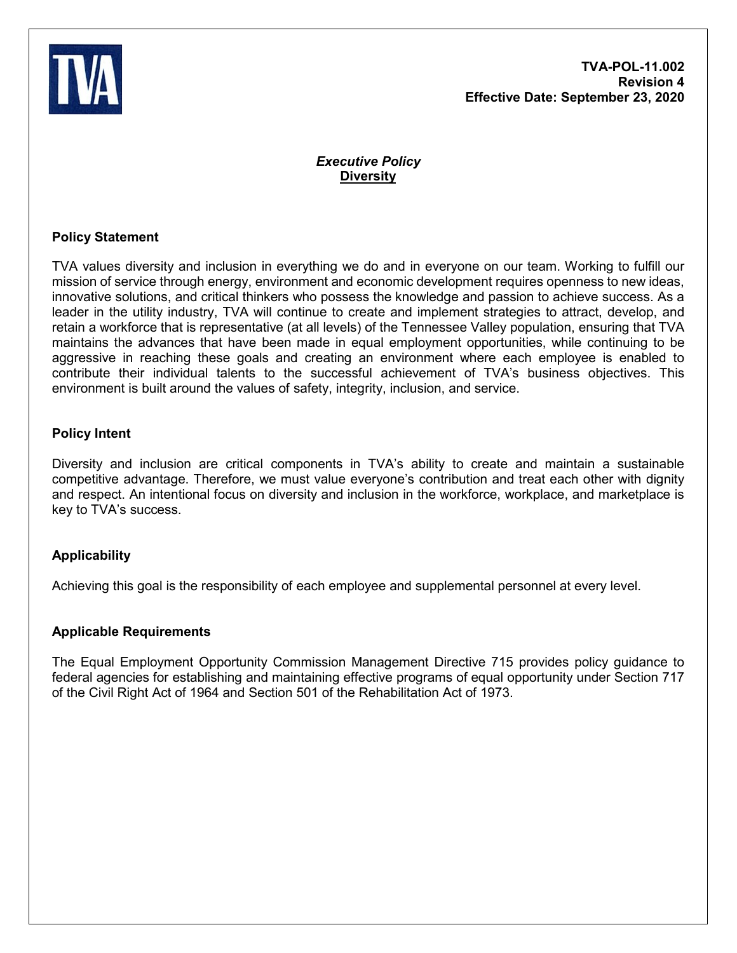

# *Executive Policy* **Diversity**

## **Policy Statement**

TVA values diversity and inclusion in everything we do and in everyone on our team. Working to fulfill our mission of service through energy, environment and economic development requires openness to new ideas, innovative solutions, and critical thinkers who possess the knowledge and passion to achieve success. As a leader in the utility industry, TVA will continue to create and implement strategies to attract, develop, and retain a workforce that is representative (at all levels) of the Tennessee Valley population, ensuring that TVA maintains the advances that have been made in equal employment opportunities, while continuing to be aggressive in reaching these goals and creating an environment where each employee is enabled to contribute their individual talents to the successful achievement of TVA's business objectives. This environment is built around the values of safety, integrity, inclusion, and service.

### **Policy Intent**

Diversity and inclusion are critical components in TVA's ability to create and maintain a sustainable competitive advantage. Therefore, we must value everyone's contribution and treat each other with dignity and respect. An intentional focus on diversity and inclusion in the workforce, workplace, and marketplace is key to TVA's success.

## **Applicability**

Achieving this goal is the responsibility of each employee and supplemental personnel at every level.

### **Applicable Requirements**

The Equal Employment Opportunity Commission Management Directive 715 provides policy guidance to federal agencies for establishing and maintaining effective programs of equal opportunity under Section 717 of the Civil Right Act of 1964 and Section 501 of the Rehabilitation Act of 1973.